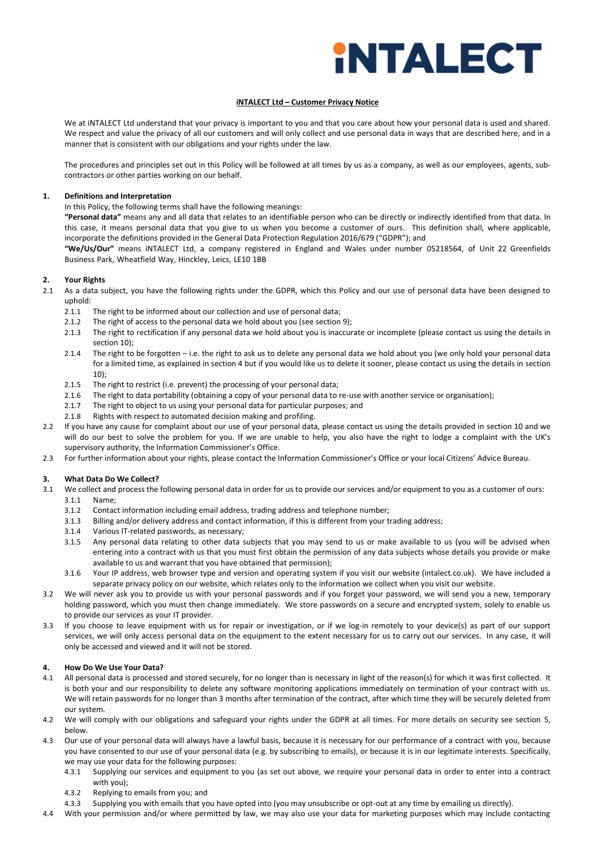# **INTALECT**

# **iNTALECT Ltd – Customer Privacy Notice**

We at iNTALECT Ltd understand that your privacy is important to you and that you care about how your personal data is used and shared. We respect and value the privacy of all our customers and will only collect and use personal data in ways that are described here, and in a manner that is consistent with our obligations and your rights under the law.

The procedures and principles set out in this Policy will be followed at all times by us as a company, as well as our employees, agents, subcontractors or other parties working on our behalf.

# **1. Definitions and Interpretation**

In this Policy, the following terms shall have the following meanings:

 **"Personal data"** means any and all data that relates to an identifiable person who can be directly or indirectly identified from that data. In this case, it means personal data that you give to us when you become a customer of ours. This definition shall, where applicable, incorporate the definitions provided in the General Data Protection Regulation 2016/679 ("GDPR"); and

 **"We/Us/Our"** means iNTALECT Ltd, a company registered in England and Wales under number 05218564, of Unit 22 Greenfields Business Park, Wheatfield Way, Hinckley, Leics, LE10 1BB

# **2. Your Rights**

- 2.1 As a data subject, you have the following rights under the GDPR, which this Policy and our use of personal data have been designed to uphold:
	- 2.1.1 The right to be informed about our collection and use of personal data;
	- 2.1.2 The right of access to the personal data we hold about you (see section 9);
	- 2.1.3 The right to rectification if any personal data we hold about you is inaccurate or incomplete (please contact us using the details in section 10);
	- 2.1.4 The right to be forgotten i.e. the right to ask us to delete any personal data we hold about you (we only hold your personal data for a limited time, as explained in section 4 but if you would like us to delete it sooner, please contact us using the details in section 10);
	- 2.1.5 The right to restrict (i.e. prevent) the processing of your personal data;
	- 2.1.6 The right to data portability (obtaining a copy of your personal data to re-use with another service or organisation);
	- 2.1.7 The right to object to us using your personal data for particular purposes; and
	- 2.1.8 Rights with respect to automated decision making and profiling.
- 2.2 If you have any cause for complaint about our use of your personal data, please contact us using the details provided in section 10 and we will do our best to solve the problem for you. If we are unable to help, you also have the right to lodge a complaint with the UK's supervisory authority, the Information Commissioner's Office.
- 2.3 For further information about your rights, please contact the Information Commissioner's Office or your local Citizens' Advice Bureau.

## **3. What Data Do We Collect?**

- 3.1 We collect and process the following personal data in order for us to provide our services and/or equipment to you as a customer of ours: 3.1.1 Name;
	- 3.1.2 Contact information including email address, trading address and telephone number;
	- 3.1.3 Billing and/or delivery address and contact information, if this is different from your trading address;
	- 3.1.4 Various IT-related passwords, as necessary;
	- 3.1.5 Any personal data relating to other data subjects that you may send to us or make available to us (you will be advised when entering into a contract with us that you must first obtain the permission of any data subjects whose details you provide or make available to us and warrant that you have obtained that permission);
	- 3.1.6 Your IP address, web browser type and version and operating system if you visit our website (intalect.co.uk). We have included a separate privacy policy on our website, which relates only to the information we collect when you visit our website.
- 3.2 We will never ask you to provide us with your personal passwords and if you forget your password, we will send you a new, temporary holding password, which you must then change immediately. We store passwords on a secure and encrypted system, solely to enable us to provide our services as your IT provider.
- 3.3 If you choose to leave equipment with us for repair or investigation, or if we log-in remotely to your device(s) as part of our support services, we will only access personal data on the equipment to the extent necessary for us to carry out our services. In any case, it will only be accessed and viewed and it will not be stored.

# **4. How Do We Use Your Data?**

- 4.1 All personal data is processed and stored securely, for no longer than is necessary in light of the reason(s) for which it was first collected. It is both your and our responsibility to delete any software monitoring applications immediately on termination of your contract with us. We will retain passwords for no longer than 3 months after termination of the contract, after which time they will be securely deleted from our system.
- 4.2 We will comply with our obligations and safeguard your rights under the GDPR at all times. For more details on security see section 5, below.
- 4.3 Our use of your personal data will always have a lawful basis, because it is necessary for our performance of a contract with you, because you have consented to our use of your personal data (e.g. by subscribing to emails), or because it is in our legitimate interests. Specifically, we may use your data for the following purposes:
	- 4.3.1 Supplying our services and equipment to you (as set out above, we require your personal data in order to enter into a contract with you);
		- 4.3.2 Replying to emails from you; and
	- 4.3.3 Supplying you with emails that you have opted into (you may unsubscribe or opt-out at any time by emailing us directly).
- 4.4 With your permission and/or where permitted by law, we may also use your data for marketing purposes which may include contacting